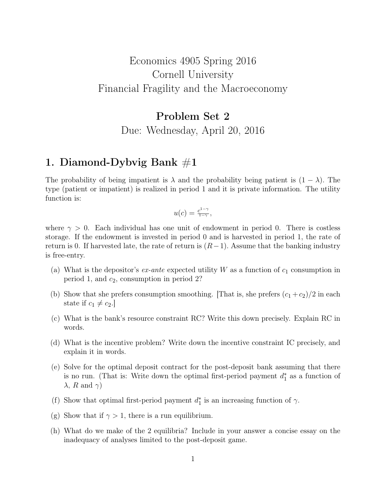## Economics 4905 Spring 2016 Cornell University Financial Fragility and the Macroeconomy

# Problem Set 2 Due: Wednesday, April 20, 2016

#### 1. Diamond-Dybvig Bank  $\#1$

The probability of being impatient is  $\lambda$  and the probability being patient is  $(1 - \lambda)$ . The type (patient or impatient) is realized in period 1 and it is private information. The utility function is:

$$
u(c) = \frac{c^{1-\gamma}}{1-\gamma},
$$

where  $\gamma > 0$ . Each individual has one unit of endowment in period 0. There is costless storage. If the endowment is invested in period 0 and is harvested in period 1, the rate of return is 0. If harvested late, the rate of return is  $(R-1)$ . Assume that the banking industry is free-entry.

- (a) What is the depositor's  $ex$ -ante expected utility W as a function of  $c_1$  consumption in period 1, and  $c_2$ , consumption in period 2?
- (b) Show that she prefers consumption smoothing. That is, she prefers  $(c_1 + c_2)/2$  in each state if  $c_1 \neq c_2$ .
- (c) What is the bank's resource constraint RC? Write this down precisely. Explain RC in words.
- (d) What is the incentive problem? Write down the incentive constraint IC precisely, and explain it in words.
- (e) Solve for the optimal deposit contract for the post-deposit bank assuming that there is no run. (That is: Write down the optimal first-period payment  $d_1^*$  as a function of  $\lambda$ , R and  $\gamma$ )
- (f) Show that optimal first-period payment  $d_1^*$  is an increasing function of  $\gamma$ .
- (g) Show that if  $\gamma > 1$ , there is a run equilibrium.
- (h) What do we make of the 2 equilibria? Include in your answer a concise essay on the inadequacy of analyses limited to the post-deposit game.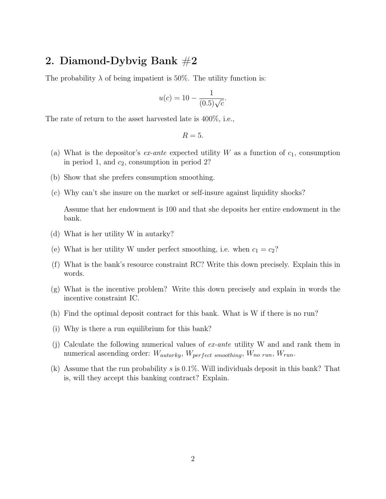### 2. Diamond-Dybvig Bank  $#2$

The probability  $\lambda$  of being impatient is 50%. The utility function is:

$$
u(c) = 10 - \frac{1}{(0.5)\sqrt{c}}.
$$

The rate of return to the asset harvested late is 400%, i.e.,

$$
R=5.
$$

- (a) What is the depositor's ex-ante expected utility W as a function of  $c_1$ , consumption in period 1, and  $c_2$ , consumption in period 2?
- (b) Show that she prefers consumption smoothing.
- (c) Why can't she insure on the market or self-insure against liquidity shocks?

Assume that her endowment is 100 and that she deposits her entire endowment in the bank.

- (d) What is her utility W in autarky?
- (e) What is her utility W under perfect smoothing, i.e. when  $c_1 = c_2$ ?
- (f) What is the bank's resource constraint RC? Write this down precisely. Explain this in words.
- (g) What is the incentive problem? Write this down precisely and explain in words the incentive constraint IC.
- (h) Find the optimal deposit contract for this bank. What is W if there is no run?
- (i) Why is there a run equilibrium for this bank?
- (j) Calculate the following numerical values of ex-ante utility W and and rank them in numerical ascending order:  $W_{autarky}$ ,  $W_{perfect~smoothing}$ ,  $W_{no~run}$ ,  $W_{run}$ .
- (k) Assume that the run probability s is 0.1%. Will individuals deposit in this bank? That is, will they accept this banking contract? Explain.